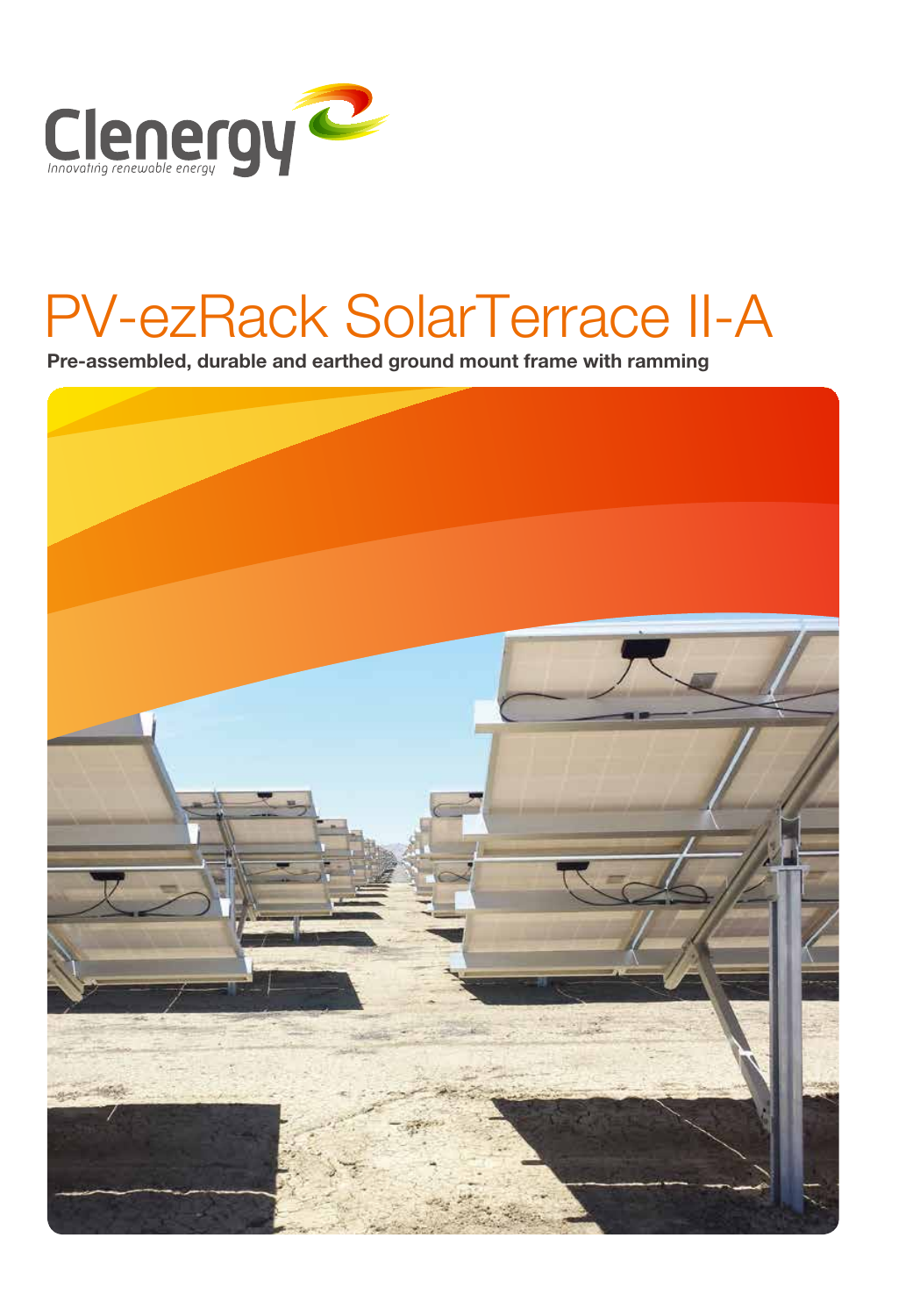

# PV-ezRack SolarTerrace II-A

Pre-assembled, durable and earthed ground mount frame with ramming

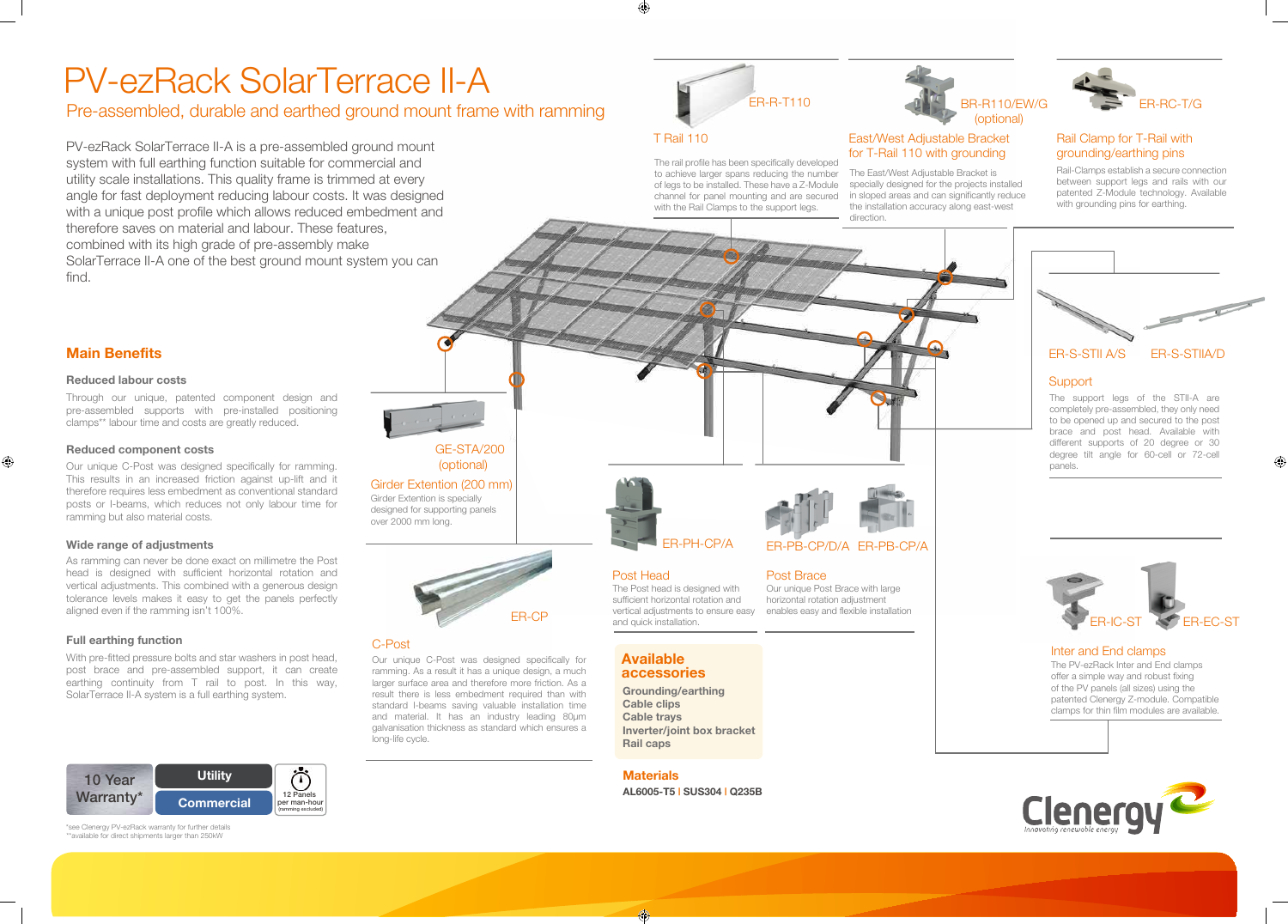The rail profile has been specifically developed to achieve larger spans reducing the number of legs to be installed. These have a Z-Module channel for panel mounting and are secured with the Rail Clamps to the support legs.



to be opened up and secured to the post brace and post head. Available with different supports of 20 degree or 30 degree tilt angle for 60-cell or 72-cell panels.

The Post head is designed with sufficient horizontal rotation and vertical adjustments to ensure easy



and quick installation.

## PV-ezRack SolarTerrace II-A

## **Main Benefits**

 $\bigoplus$ 

## T Rail 110

 $\bigoplus$ 

#### **Reduced labour costs**

Through our unique, patented component design and pre-assembled supports with pre-installed positioning clamps\*\* labour time and costs are greatly reduced.

### **Reduced component costs**

Our unique C-Post was designed specifically for ramming. This results in an increased friction against up-lift and it therefore requires less embedment as conventional standard posts or I-beams, which reduces not only labour time for ramming but also material costs.

As ramming can never be done exact on millimetre the Post head is designed with sufficient horizontal rotation and vertical adjustments. This combined with a generous design tolerance levels makes it easy to get the panels perfectly aligned even if the ramming isn't 100%.

### **Full earthing function**

\*\*available for direct shipments larger than 250kW \*see Clenergy PV-ezRack warranty for further details





With pre-fitted pressure bolts and star washers in post head, post brace and pre-assembled support, it can create earthing continuity from T rail to post. In this way, SolarTerrace II-A system is a full earthing system.

Pre-assembled, durable and earthed ground mount frame with ramming

PV-ezRack SolarTerrace II-A is a pre-assembled ground mount system with full earthing function suitable for commercial and utility scale installations. This quality frame is trimmed at every angle for fast deployment reducing labour costs. It was designed with a unique post profile which allows reduced embedment and therefore saves on material and labour. These features, combined with its high grade of pre-assembly make SolarTerrace II-A one of the best ground mount system you can find.

> Girder Extention is specially designed for supporting panels over 2000 mm long. Girder Extention (200 mm) GE-STA/200 (optional)

Our unique C-Post was designed specifically for ramming. As a result it has a unique design, a much larger surface area and therefore more friction. As a result there is less embedment required than with standard I-beams saving valuable installation time and material. It has an industry leading 80µm galvanisation thickness as standard which ensures a long-life cycle.

Post Head

Our unique Post Brace with large horizontal rotation adjustment enables easy and flexible installation

#### Post Brace





#### Inter and End clamps



The PV-ezRack Inter and End clamps offer a simple way and robust fixing of the PV panels (all sizes) using the patented Clenergy Z-module. Compatible clamps for thin film modules are available.



### **Wide range of adjustments**

## C-Post

Rail-Clamps establish a secure connection between support legs and rails with our patented Z-Module technology. Available with grounding pins for earthing.



**Available accessories**

#### **Grounding/earthing Cable clips Cable trays Inverter/joint box bracket Rail caps**

## (optional) East/West Adjustable Bracket for T-Rail 110 with grounding

## Rail Clamp for T-Rail with grounding/earthing pins



The East/West Adjustable Bracket is specially designed for the projects installed in sloped areas and can significantly reduce the installation accuracy along east-west direction.

## **Materials**

**AL6005-T5 | SUS304 | Q235B**